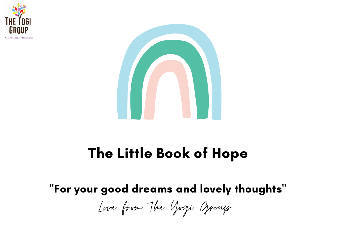



#### The Little Book of Hope

#### "For your good dreams and lovely thoughts"

Love from The Yogi Group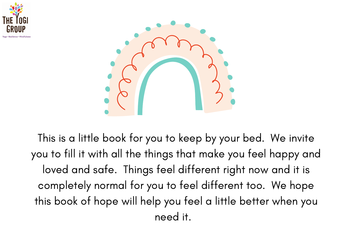



This is a little book for you to keep by your bed. We invite you to fill it with all the things that make you feel happy and loved and safe. Things feel different right now and it is completely normal for you to feel different too. We hope this book of hope will help you feel a little better when you need it.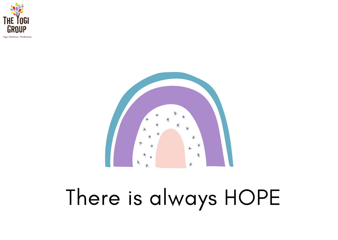

Yona + Resilience + Mindfulnes



#### There is always HOPE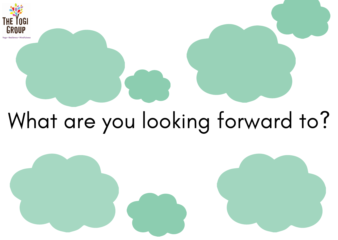

## What are you looking forward to?

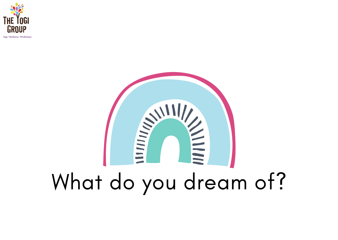

ana + Resilience + Mindfulnes

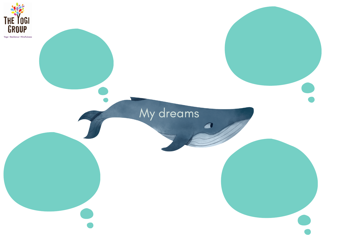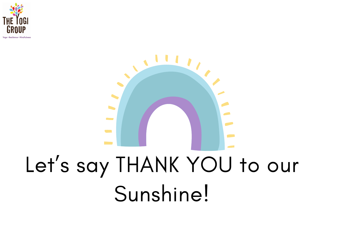



### Let's say THANK YOU to our Sunshine!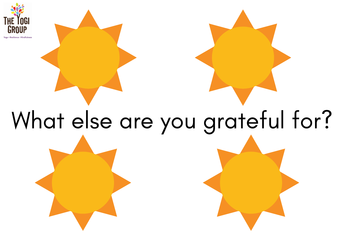

# What else are you grateful for?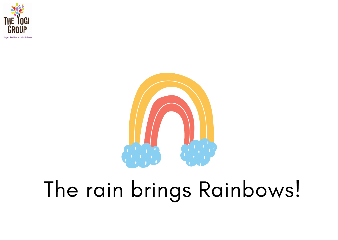

**Moore & Read Lowers & Mind Golden** 



#### The rain brings Rainbows!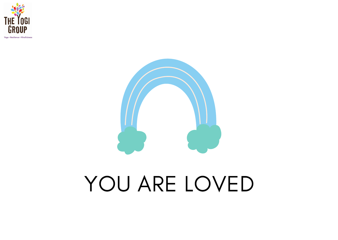

#### YOU ARE LOVED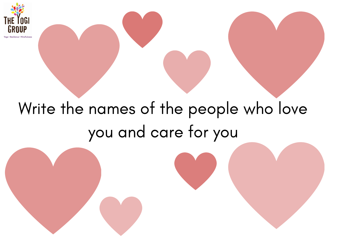

#### Write the names of the people who love you and care for you

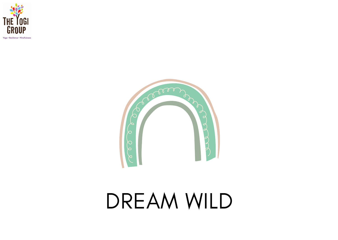

Yoga . Resilience . Mindfulness



#### DREAM WILD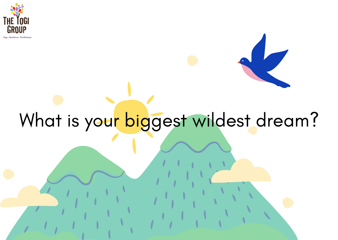

and a Mindfeld are

#### What is your biggest wildest dream?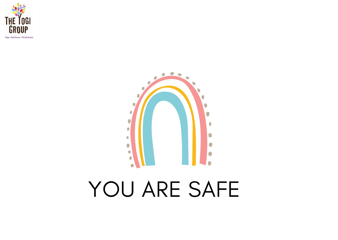

Yoga . Resilience . Mindfulness



#### YOU ARE SAFE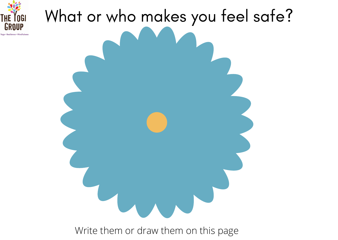

# What or who makes you feel safe?

Write them or draw them on this page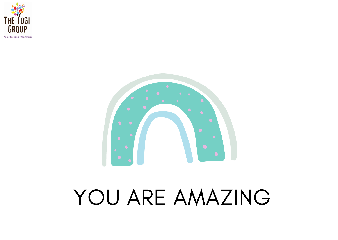





#### YOU ARE AMAZING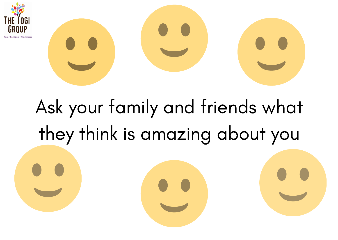



#### Ask your family and friends what they think is amazing about you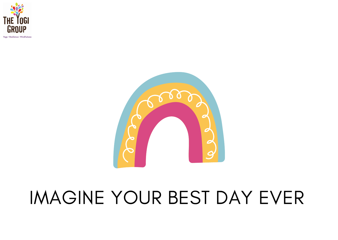

Yona + Resilience + Mindfulnes:



#### IMAGINE YOUR BEST DAY EVER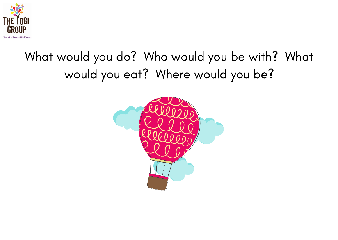

#### What would you do? Who would you be with? What would you eat? Where would you be?

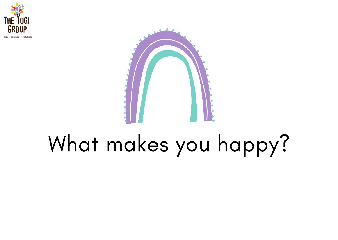



#### What makes you happy?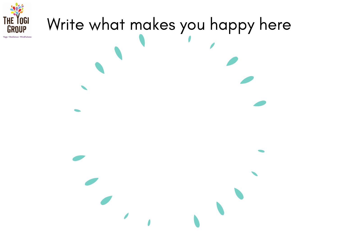

# Write what makes you happy here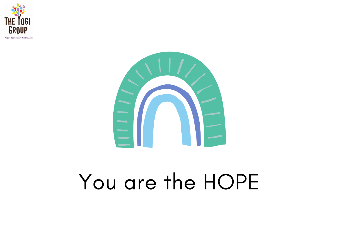





#### You are the HOPE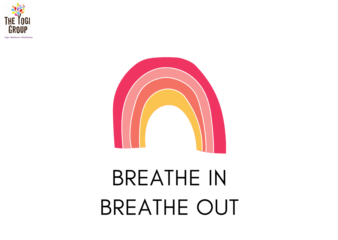





## BREATHE IN BREATHE OUT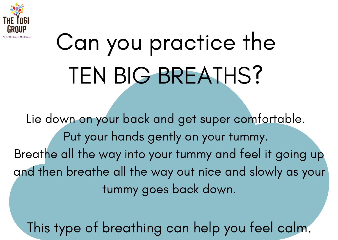

# Can you practice the TEN BIG BREATHS?

Lie down on your back and get super comfortable. Put your hands gently on your tummy. Breathe all the way into your tummy and feel it going up and then breathe all the way out nice and slowly as your tummy goes back down.

This type of breathing can help you feel calm.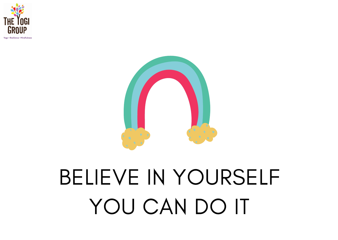



#### BELIEVE IN YOURSELF YOU CAN DO IT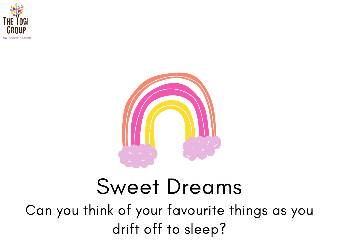



#### Sweet Dreams

Can you think of your favourite things as you drift off to sleep?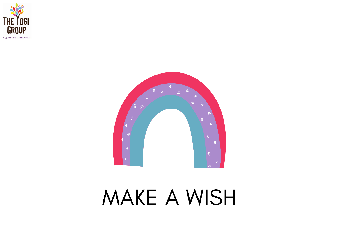

Yoga . Resilience . Mindfulnes



#### MAKE A WISH